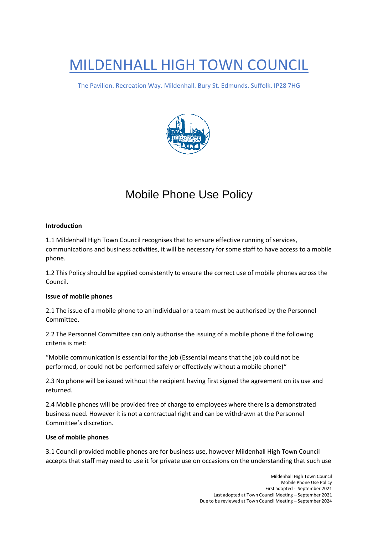# MILDENHALL HIGH TOWN COUNCIL

The Pavilion. Recreation Way. Mildenhall. Bury St. Edmunds. Suffolk. IP28 7HG



# Mobile Phone Use Policy

#### **Introduction**

1.1 Mildenhall High Town Council recognises that to ensure effective running of services, communications and business activities, it will be necessary for some staff to have access to a mobile phone.

1.2 This Policy should be applied consistently to ensure the correct use of mobile phones across the Council.

# **Issue of mobile phones**

2.1 The issue of a mobile phone to an individual or a team must be authorised by the Personnel Committee.

2.2 The Personnel Committee can only authorise the issuing of a mobile phone if the following criteria is met:

"Mobile communication is essential for the job (Essential means that the job could not be performed, or could not be performed safely or effectively without a mobile phone)"

2.3 No phone will be issued without the recipient having first signed the agreement on its use and returned.

2.4 Mobile phones will be provided free of charge to employees where there is a demonstrated business need. However it is not a contractual right and can be withdrawn at the Personnel Committee's discretion.

#### **Use of mobile phones**

3.1 Council provided mobile phones are for business use, however Mildenhall High Town Council accepts that staff may need to use it for private use on occasions on the understanding that such use